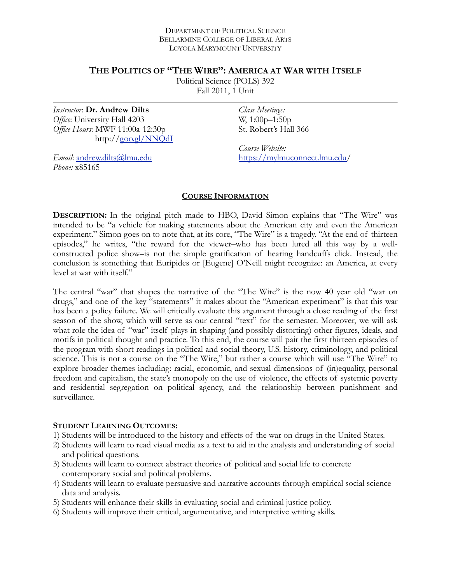#### DEPARTMENT OF POLITICAL SCIENCE BELLARMINE COLLEGE OF LIBERAL ARTS LOYOLA MARYMOUNT UNIVERSITY

## **THE POLITICS OF "THE WIRE": AMERICA AT WAR WITH ITSELF**

Political Science (POLS) 392 Fall 2011, 1 Unit

*Instructor*: **Dr. Andrew Dilts** *Office*: University Hall 4203 *Office Hours*: MWF 11:00a-12:30p http://[goo.gl/NNQdI](http://goo.gl/NNQdI) *Class Meetings:*  W, 1:00p–1:50p St. Robert's Hall 366

*Course Website:*  [https://mylmuconnect.lmu.edu/](https://mylmuconnect.lmu.edu)

*Email*: [andrew.dilts@lmu.edu](mailto:adilts@lmu.edu) *Phone:* x85165

### **COURSE INFORMATION**

**DESCRIPTION:** In the original pitch made to HBO, David Simon explains that "The Wire" was intended to be "a vehicle for making statements about the American city and even the American experiment." Simon goes on to note that, at its core, "The Wire" is a tragedy. "At the end of thirteen episodes," he writes, "the reward for the viewer–who has been lured all this way by a wellconstructed police show–is not the simple gratification of hearing handcuffs click. Instead, the conclusion is something that Euripides or [Eugene] O'Neill might recognize: an America, at every level at war with itself."

The central "war" that shapes the narrative of the "The Wire" is the now 40 year old "war on drugs," and one of the key "statements" it makes about the "American experiment" is that this war has been a policy failure. We will critically evaluate this argument through a close reading of the first season of the show, which will serve as our central "text" for the semester. Moreover, we will ask what role the idea of "war" itself plays in shaping (and possibly distorting) other figures, ideals, and motifs in political thought and practice. To this end, the course will pair the first thirteen episodes of the program with short readings in political and social theory, U.S. history, criminology, and political science. This is not a course on the "The Wire," but rather a course which will use "The Wire" to explore broader themes including: racial, economic, and sexual dimensions of (in)equality, personal freedom and capitalism, the state's monopoly on the use of violence, the effects of systemic poverty and residential segregation on political agency, and the relationship between punishment and surveillance.

### **STUDENT LEARNING OUTCOMES:**

- 1) Students will be introduced to the history and effects of the war on drugs in the United States.
- 2) Students will learn to read visual media as a text to aid in the analysis and understanding of social and political questions.
- 3) Students will learn to connect abstract theories of political and social life to concrete contemporary social and political problems.
- 4) Students will learn to evaluate persuasive and narrative accounts through empirical social science data and analysis.
- 5) Students will enhance their skills in evaluating social and criminal justice policy.
- 6) Students will improve their critical, argumentative, and interpretive writing skills.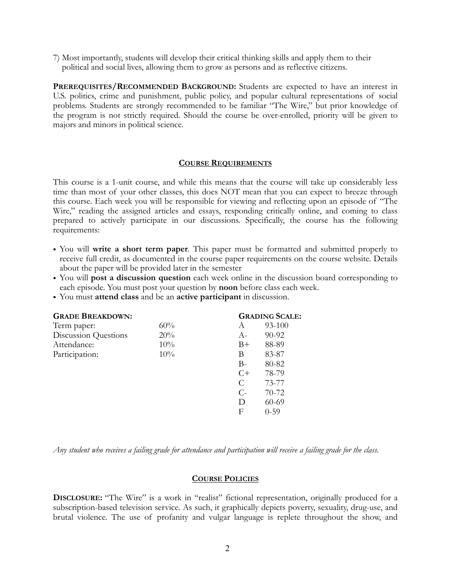7) Most importantly, students will develop their critical thinking skills and apply them to their political and social lives, allowing them to grow as persons and as reflective citizens.

**PREREQUISITES/RECOMMENDED BACKGROUND:** Students are expected to have an interest in U.S. politics, crime and punishment, public policy, and popular cultural representations of social problems. Students are strongly recommended to be familiar "The Wire," but prior knowledge of the program is not strictly required. Should the course be over-enrolled, priority will be given to majors and minors in political science.

### **COURSE REQUIREMENTS**

This course is a 1-unit course, and while this means that the course will take up considerably less time than most of your other classes, this does NOT mean that you can expect to breeze through this course. Each week you will be responsible for viewing and reflecting upon an episode of "The Wire," reading the assigned articles and essays, responding critically online, and coming to class prepared to actively participate in our discussions. Specifically, the course has the following requirements:

- You will **write a short term paper**. This paper must be formatted and submitted properly to receive full credit, as documented in the course paper requirements on the course website. Details about the paper will be provided later in the semester
- You will **post a discussion question** each week online in the discussion board corresponding to each episode. You must post your question by **noon** before class each week.
- You must **attend class** and be an **active participant** in discussion.

| <b>GRADE BREAKDOWN:</b> |       | <b>GRADING SCALE:</b> |  |
|-------------------------|-------|-----------------------|--|
| 60%                     | A     | 93-100                |  |
| 20%                     | $A-$  | 90-92                 |  |
| 10%                     | $B+$  | 88-89                 |  |
| 10%                     | В     | 83-87                 |  |
|                         | $B-$  | 80-82                 |  |
|                         | $C+$  | 78-79                 |  |
|                         | C     | 73-77                 |  |
|                         | $C$ - | 70-72                 |  |
|                         | D     | 60-69                 |  |
|                         | F     | $0 - 59$              |  |
|                         |       |                       |  |

*Any student who receives a failing grade for attendance and participation will receive a failing grade for the class*.

### **COURSE POLICIES**

**DISCLOSURE:** "The Wire" is a work in "realist" fictional representation, originally produced for a subscription-based television service. As such, it graphically depicts poverty, sexuality, drug-use, and brutal violence. The use of profanity and vulgar language is replete throughout the show, and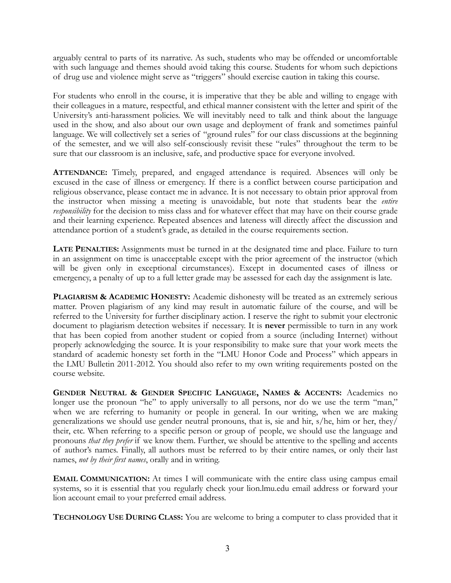arguably central to parts of its narrative. As such, students who may be offended or uncomfortable with such language and themes should avoid taking this course. Students for whom such depictions of drug use and violence might serve as "triggers" should exercise caution in taking this course.

For students who enroll in the course, it is imperative that they be able and willing to engage with their colleagues in a mature, respectful, and ethical manner consistent with the letter and spirit of the University's anti-harassment policies. We will inevitably need to talk and think about the language used in the show, and also about our own usage and deployment of frank and sometimes painful language. We will collectively set a series of "ground rules" for our class discussions at the beginning of the semester, and we will also self-consciously revisit these "rules" throughout the term to be sure that our classroom is an inclusive, safe, and productive space for everyone involved.

**ATTENDANCE:** Timely, prepared, and engaged attendance is required. Absences will only be excused in the case of illness or emergency. If there is a conflict between course participation and religious observance, please contact me in advance. It is not necessary to obtain prior approval from the instructor when missing a meeting is unavoidable, but note that students bear the *entire responsibility* for the decision to miss class and for whatever effect that may have on their course grade and their learning experience. Repeated absences and lateness will directly affect the discussion and attendance portion of a student's grade, as detailed in the course requirements section.

**LATE PENALTIES:** Assignments must be turned in at the designated time and place. Failure to turn in an assignment on time is unacceptable except with the prior agreement of the instructor (which will be given only in exceptional circumstances). Except in documented cases of illness or emergency, a penalty of up to a full letter grade may be assessed for each day the assignment is late.

**PLAGIARISM & ACADEMIC HONESTY:** Academic dishonesty will be treated as an extremely serious matter. Proven plagiarism of any kind may result in automatic failure of the course, and will be referred to the University for further disciplinary action. I reserve the right to submit your electronic document to plagiarism detection websites if necessary. It is **never** permissible to turn in any work that has been copied from another student or copied from a source (including Internet) without properly acknowledging the source. It is your responsibility to make sure that your work meets the standard of academic honesty set forth in the "LMU Honor Code and Process" which appears in the LMU Bulletin 2011-2012. You should also refer to my own writing requirements posted on the course website.

**GENDER NEUTRAL & GENDER SPECIFIC LANGUAGE, NAMES & ACCENTS:** Academics no longer use the pronoun "he" to apply universally to all persons, nor do we use the term "man," when we are referring to humanity or people in general. In our writing, when we are making generalizations we should use gender neutral pronouns, that is, sie and hir,  $s/he$ , him or her, they $\overline{l}$ their, etc. When referring to a specific person or group of people, we should use the language and pronouns *that they prefer* if we know them. Further, we should be attentive to the spelling and accents of author's names. Finally, all authors must be referred to by their entire names, or only their last names, *not by their first names*, orally and in writing.

**EMAIL COMMUNICATION:** At times I will communicate with the entire class using campus email systems, so it is essential that you regularly check your lion.lmu.edu email address or forward your lion account email to your preferred email address.

**TECHNOLOGY USE DURING CLASS:** You are welcome to bring a computer to class provided that it